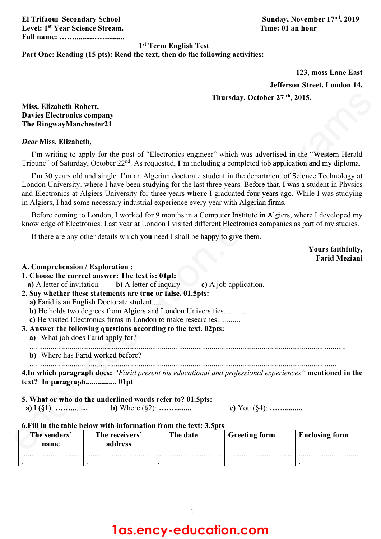**Level: 1st Year Science Stream. Time: 01 an hour Full name: …….........…….........**

**El Trifaoui Secondary School Sunday, November 17nd, 2019**

### **1st Term English Test**

### **Part One: Reading (15 pts): Read the text, then do the following activities:**

**123, moss Lane East Jefferson Street, London 14. n 1**

### **Thursday, October 27 th, 2015.**

### *Dear* **Miss. Elizabeth***,*

|                                                                                         | Thursday, October 27 <sup>th</sup> , 2015.                                                                                                                                                                                                                                                                                                     |          |                                                                                                                                                                                                                                                                                                                                              |                                           |
|-----------------------------------------------------------------------------------------|------------------------------------------------------------------------------------------------------------------------------------------------------------------------------------------------------------------------------------------------------------------------------------------------------------------------------------------------|----------|----------------------------------------------------------------------------------------------------------------------------------------------------------------------------------------------------------------------------------------------------------------------------------------------------------------------------------------------|-------------------------------------------|
| Miss. Elizabeth Robert,<br><b>Davies Electronics company</b><br>The RingwayManchester21 |                                                                                                                                                                                                                                                                                                                                                |          |                                                                                                                                                                                                                                                                                                                                              |                                           |
| Dear Miss. Elizabeth,                                                                   |                                                                                                                                                                                                                                                                                                                                                |          |                                                                                                                                                                                                                                                                                                                                              |                                           |
|                                                                                         | I'm writing to apply for the post of "Electronics-engineer" which was advertised in the "Western Herald"<br>Tribune" of Saturday, October 22 <sup>nd</sup> . As requested, I'm including a completed job application and my diploma.                                                                                                           |          |                                                                                                                                                                                                                                                                                                                                              |                                           |
|                                                                                         | in Algiers, I had some necessary industrial experience every year with Algerian firms.                                                                                                                                                                                                                                                         |          | I'm 30 years old and single. I'm an Algerian doctorate student in the department of Science Technology at<br>London University. where I have been studying for the last three years. Before that, I was a student in Physics<br>and Electronics at Algiers University for three years where I graduated four years ago. While I was studying |                                           |
|                                                                                         |                                                                                                                                                                                                                                                                                                                                                |          | Before coming to London, I worked for 9 months in a Computer Institute in Algiers, where I developed my<br>knowledge of Electronics. Last year at London I visited different Electronics companies as part of my studies.                                                                                                                    |                                           |
|                                                                                         | If there are any other details which you need I shall be happy to give them.                                                                                                                                                                                                                                                                   |          |                                                                                                                                                                                                                                                                                                                                              |                                           |
|                                                                                         |                                                                                                                                                                                                                                                                                                                                                |          |                                                                                                                                                                                                                                                                                                                                              | Yours faithfully,<br><b>Farid Meziani</b> |
| a) A letter of invitation<br>a) What job does Farid apply for?                          | <b>b</b> ) A letter of inquiry<br>2. Say whether these statements are true or false. 01.5pts:<br>a) Farid is an English Doctorate student<br>b) He holds two degrees from Algiers and London Universities.<br>c) He visited Electronics firms in London to make researches.<br>3. Answer the following questions according to the text. 02pts: |          | c) A job application.                                                                                                                                                                                                                                                                                                                        |                                           |
|                                                                                         | b) Where has Farid worked before?                                                                                                                                                                                                                                                                                                              |          |                                                                                                                                                                                                                                                                                                                                              |                                           |
| a) $I(\S1):$                                                                            | 5. What or who do the underlined words refer to? 01.5pts:<br><b>b</b> ) Where $(\S 2)$ :<br>6. Fill in the table below with information from the text: 3.5pts                                                                                                                                                                                  |          | 4. In which paragraph does: "Farid present his educational and professional experiences" mentioned in the<br>c) You $(\S4)$ :                                                                                                                                                                                                                |                                           |
| The senders'<br>name                                                                    | The receivers'<br>address                                                                                                                                                                                                                                                                                                                      | The date | <b>Greeting form</b>                                                                                                                                                                                                                                                                                                                         | <b>Enclosing form</b>                     |
|                                                                                         |                                                                                                                                                                                                                                                                                                                                                |          |                                                                                                                                                                                                                                                                                                                                              |                                           |

### **The senders' name The receivers' address The date Greeting form Enclosing form** .............................. . ................................. . ................................. . ................................. . 6. Fill in the table below with information from the text: 3.5pts<br>
The senders' The receivers' The date Greeting form anne address<br>
The senders' The contract of the senders' The date Creeting form and the senders' The cont . **s** a*f* 1 (g<sub>1</sub>). ...<br>**6.Fill in the**<br>**The send**<br>**name**

## **1as.ency-education.com**